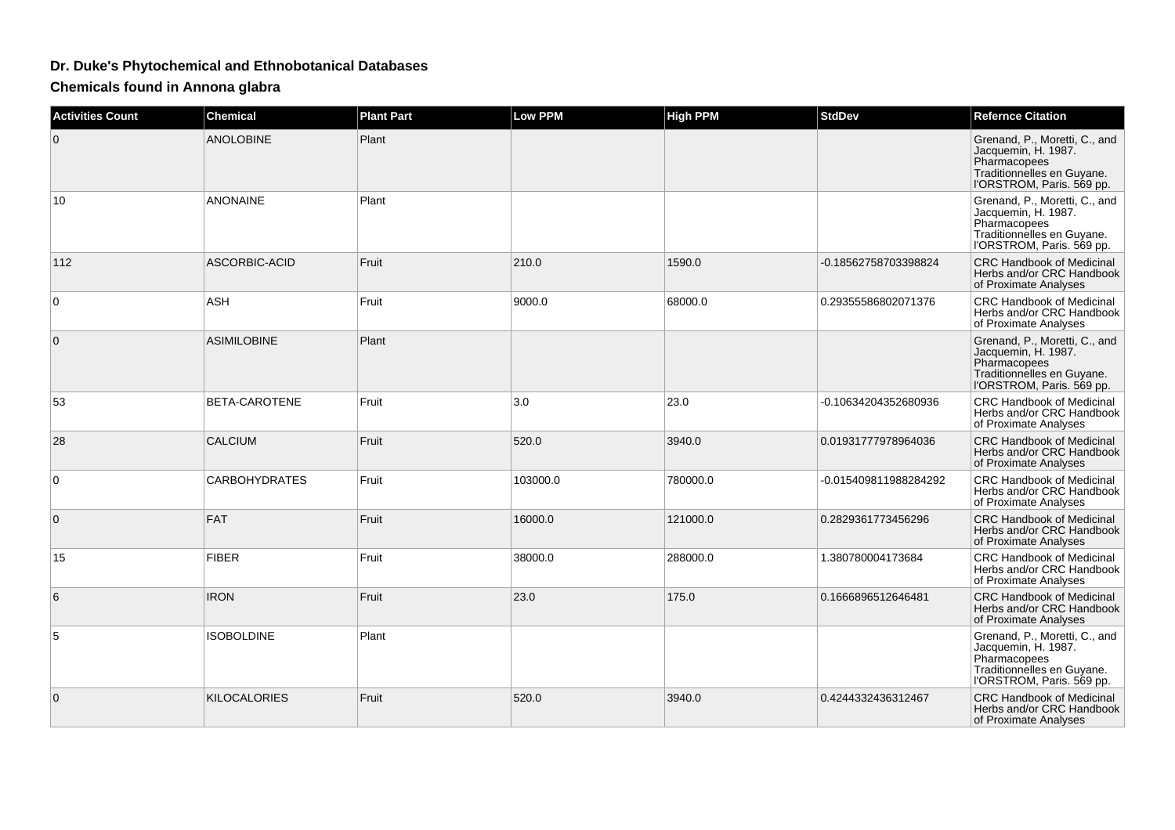## **Dr. Duke's Phytochemical and Ethnobotanical Databases**

**Chemicals found in Annona glabra**

| <b>Activities Count</b> | <b>Chemical</b>      | <b>Plant Part</b> | <b>Low PPM</b> | <b>High PPM</b> | <b>StdDev</b>         | <b>Refernce Citation</b>                                                                                                        |
|-------------------------|----------------------|-------------------|----------------|-----------------|-----------------------|---------------------------------------------------------------------------------------------------------------------------------|
| $\mathbf 0$             | <b>ANOLOBINE</b>     | Plant             |                |                 |                       | Grenand, P., Moretti, C., and<br>Jacquemin, H. 1987.<br>Pharmacopees<br>Traditionnelles en Guyane.<br>l'ORSTROM, Paris. 569 pp. |
| 10                      | <b>ANONAINE</b>      | Plant             |                |                 |                       | Grenand, P., Moretti, C., and<br>Jacquemin, H. 1987.<br>Pharmacopees<br>Traditionnelles en Guyane.<br>l'ORSTROM, Paris. 569 pp. |
| 112                     | ASCORBIC-ACID        | Fruit             | 210.0          | 1590.0          | -0.18562758703398824  | <b>CRC Handbook of Medicinal</b><br>Herbs and/or CRC Handbook<br>of Proximate Analyses                                          |
| $\Omega$                | <b>ASH</b>           | Fruit             | 9000.0         | 68000.0         | 0.29355586802071376   | <b>CRC Handbook of Medicinal</b><br>Herbs and/or CRC Handbook<br>of Proximate Analyses                                          |
| 0                       | <b>ASIMILOBINE</b>   | Plant             |                |                 |                       | Grenand, P., Moretti, C., and<br>Jacquemin, H. 1987.<br>Pharmacopees<br>Traditionnelles en Guyane.<br>l'ORSTROM, Paris. 569 pp. |
| 53                      | <b>BETA-CAROTENE</b> | Fruit             | 3.0            | 23.0            | -0.10634204352680936  | <b>CRC Handbook of Medicinal</b><br>Herbs and/or CRC Handbook<br>of Proximate Analyses                                          |
| 28                      | <b>CALCIUM</b>       | Fruit             | 520.0          | 3940.0          | 0.01931777978964036   | <b>CRC Handbook of Medicinal</b><br>Herbs and/or CRC Handbook<br>of Proximate Analyses                                          |
| $\mathbf 0$             | <b>CARBOHYDRATES</b> | Fruit             | 103000.0       | 780000.0        | -0.015409811988284292 | <b>CRC Handbook of Medicinal</b><br>Herbs and/or CRC Handbook<br>of Proximate Analyses                                          |
| $\mathbf{0}$            | <b>FAT</b>           | Fruit             | 16000.0        | 121000.0        | 0.2829361773456296    | <b>CRC Handbook of Medicinal</b><br>Herbs and/or CRC Handbook<br>of Proximate Analyses                                          |
| 15                      | <b>FIBER</b>         | Fruit             | 38000.0        | 288000.0        | 1.380780004173684     | <b>CRC Handbook of Medicinal</b><br>Herbs and/or CRC Handbook<br>of Proximate Analyses                                          |
| 6                       | <b>IRON</b>          | Fruit             | 23.0           | 175.0           | 0.1666896512646481    | <b>CRC Handbook of Medicinal</b><br>Herbs and/or CRC Handbook<br>of Proximate Analyses                                          |
| 5                       | <b>ISOBOLDINE</b>    | Plant             |                |                 |                       | Grenand, P., Moretti, C., and<br>Jacquemin, H. 1987.<br>Pharmacopees<br>Traditionnelles en Guyane.<br>l'ORSTROM, Paris. 569 pp. |
| $\mathbf 0$             | <b>KILOCALORIES</b>  | Fruit             | 520.0          | 3940.0          | 0.4244332436312467    | <b>CRC Handbook of Medicinal</b><br>Herbs and/or CRC Handbook<br>of Proximate Analyses                                          |